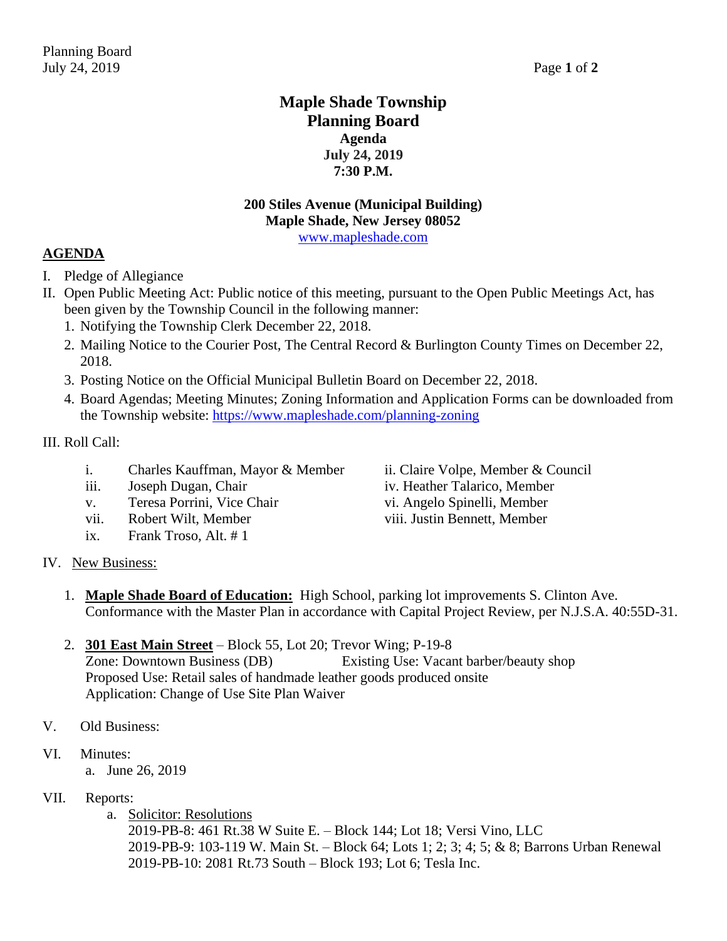## **Maple Shade Township Planning Board Agenda July 24, 2019 7:30 P.M.**

## **200 Stiles Avenue (Municipal Building) Maple Shade, New Jersey 08052**

[www.mapleshade.com](http://www.mapleshade.com/)

### **AGENDA**

- I. Pledge of Allegiance
- II. Open Public Meeting Act: Public notice of this meeting, pursuant to the Open Public Meetings Act, has been given by the Township Council in the following manner:
	- 1. Notifying the Township Clerk December 22, 2018.
	- 2. Mailing Notice to the Courier Post, The Central Record & Burlington County Times on December 22, 2018.
	- 3. Posting Notice on the Official Municipal Bulletin Board on December 22, 2018.
	- 4. Board Agendas; Meeting Minutes; Zoning Information and Application Forms can be downloaded from the Township website:<https://www.mapleshade.com/planning-zoning>

#### III. Roll Call:

- i. Charles Kauffman, Mayor & Member ii. Claire Volpe, Member & Council
- 
- v. Teresa Porrini, Vice Chair vi. Angelo Spinelli, Member
- vii. Robert Wilt, Member viii. Justin Bennett, Member
- ix. Frank Troso, Alt. # 1
- iii. Joseph Dugan, Chair iv. Heather Talarico, Member
- IV. New Business:
	- 1. **Maple Shade Board of Education:** High School, parking lot improvements S. Clinton Ave. Conformance with the Master Plan in accordance with Capital Project Review, per N.J.S.A. 40:55D-31.
	- 2. **301 East Main Street** Block 55, Lot 20; Trevor Wing; P-19-8 Zone: Downtown Business (DB) Existing Use: Vacant barber/beauty shop Proposed Use: Retail sales of handmade leather goods produced onsite Application: Change of Use Site Plan Waiver
- V. Old Business:
- VI. Minutes:
	- a. June 26, 2019
- VII. Reports:
	- a. Solicitor: Resolutions
		- 2019-PB-8: 461 Rt.38 W Suite E. Block 144; Lot 18; Versi Vino, LLC 2019-PB-9: 103-119 W. Main St. – Block 64; Lots 1; 2; 3; 4; 5; & 8; Barrons Urban Renewal 2019-PB-10: 2081 Rt.73 South – Block 193; Lot 6; Tesla Inc.